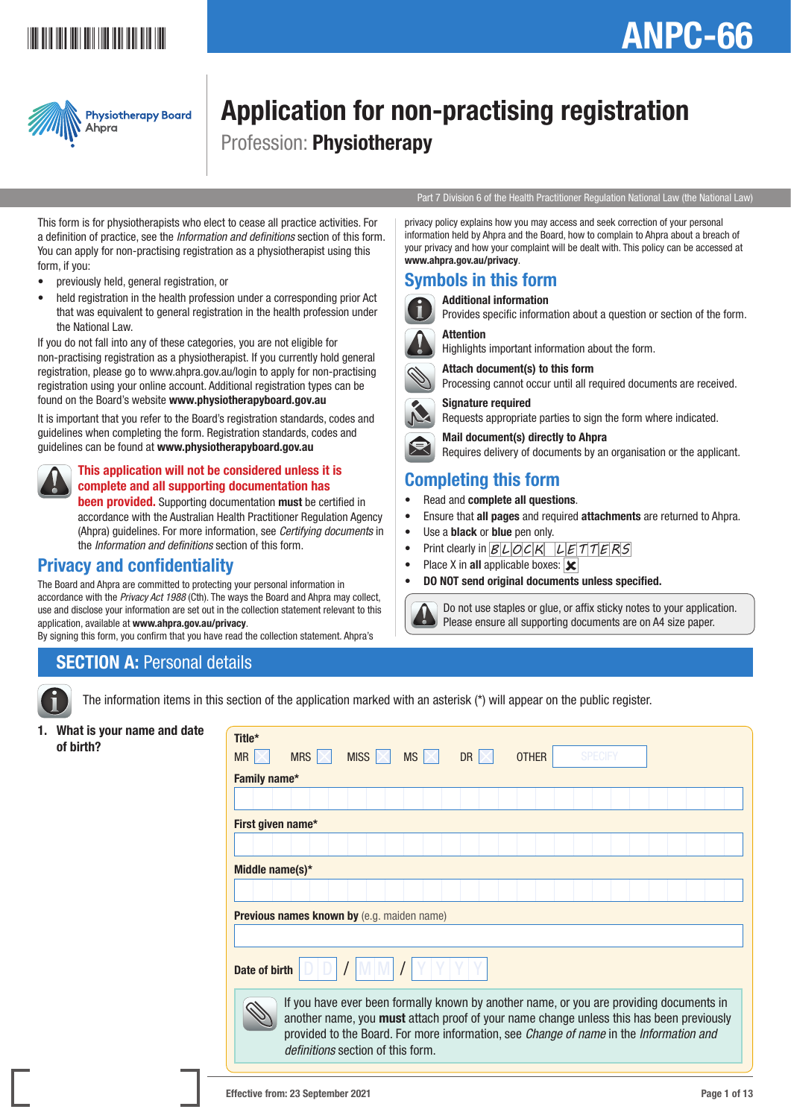## \*ANPC-661\*

# ANPC-66



## Application for non-practising registration Profession: Physiotherapy

#### Part 7 Division 6 of the Health Practitioner Regulation National Law (the National Law)

This form is for physiotherapists who elect to cease all practice activities. For a definition of practice, see the *Information and definitions* section of this form. You can apply for non-practising registration as a physiotherapist using this form, if you:

- previously held, general registration, or
- held registration in the health profession under a corresponding prior Act that was equivalent to general registration in the health profession under the National Law.

If you do not fall into any of these categories, you are not eligible for non-practising registration as a physiotherapist. If you currently hold general registration, please go to www.ahpra.gov.au/login to apply for non-practising registration using your online account. Additional registration types can be found on the Board's website www.physiotherapyboard.gov.au

It is important that you refer to the Board's registration standards, codes and guidelines when completing the form. Registration standards, codes and guidelines can be found at www.physiotherapyboard.gov.au



#### This application will not be considered unless it is complete and all supporting documentation has

**been provided.** Supporting documentation must be certified in accordance with the Australian Health Practitioner Regulation Agency (Ahpra) guidelines. For more information, see *Certifying documents* in the *Information and definitions* section of this form.

### Privacy and confidentiality

The Board and Ahpra are committed to protecting your personal information in accordance with the *Privacy Act 1988* (Cth). The ways the Board and Ahpra may collect, use and disclose your information are set out in the collection statement relevant to this application, available at www.ahpra.gov.au/privacy.

By signing this form, you confirm that you have read the collection statement. Ahpra's

privacy policy explains how you may access and seek correction of your personal information held by Ahpra and the Board, how to complain to Ahpra about a breach of your privacy and how your complaint will be dealt with. This policy can be accessed at www.ahpra.gov.au/privacy.

### Symbols in this form

#### Additional information

Provides specific information about a question or section of the form.



#### Attention

Highlights important information about the form.



 Attach document(s) to this form Processing cannot occur until all required documents are received.

Signature required Requests appropriate parties to sign the form where indicated.

 Mail document(s) directly to Ahpra Requires delivery of documents by an organisation or the applicant.

### Completing this form

- Read and **complete all questions**.
- Ensure that all pages and required attachments are returned to Ahpra.
- Use a **black** or **blue** pen only.
- Print clearly in *B L OC K L E T T E RS*
- Place X in all applicable boxes:  $\mathbf{\times}$
- DO NOT send original documents unless specified.



 Do not use staples or glue, or affix sticky notes to your application. Please ensure all supporting documents are on A4 size paper.

### **SECTION A: Personal details**

The information items in this section of the application marked with an asterisk (\*) will appear on the public register.

1. What is your name and date of birth?

| Title*            |                                                                                                                                                                                                                                                                                                                          |      |                     |           |              |  |               |  |  |  |  |  |
|-------------------|--------------------------------------------------------------------------------------------------------------------------------------------------------------------------------------------------------------------------------------------------------------------------------------------------------------------------|------|---------------------|-----------|--------------|--|---------------|--|--|--|--|--|
| <b>MR</b>         | <b>MRS</b>                                                                                                                                                                                                                                                                                                               | MISS | $MS \triangleright$ | <b>DR</b> | <b>OTHER</b> |  | <b>SPECIE</b> |  |  |  |  |  |
|                   | Family name*                                                                                                                                                                                                                                                                                                             |      |                     |           |              |  |               |  |  |  |  |  |
|                   |                                                                                                                                                                                                                                                                                                                          |      |                     |           |              |  |               |  |  |  |  |  |
| First given name* |                                                                                                                                                                                                                                                                                                                          |      |                     |           |              |  |               |  |  |  |  |  |
|                   |                                                                                                                                                                                                                                                                                                                          |      |                     |           |              |  |               |  |  |  |  |  |
|                   | Middle name(s)*                                                                                                                                                                                                                                                                                                          |      |                     |           |              |  |               |  |  |  |  |  |
|                   |                                                                                                                                                                                                                                                                                                                          |      |                     |           |              |  |               |  |  |  |  |  |
|                   | <b>Previous names known by</b> (e.g. maiden name)                                                                                                                                                                                                                                                                        |      |                     |           |              |  |               |  |  |  |  |  |
|                   |                                                                                                                                                                                                                                                                                                                          |      |                     |           |              |  |               |  |  |  |  |  |
|                   |                                                                                                                                                                                                                                                                                                                          |      |                     |           |              |  |               |  |  |  |  |  |
| Date of birth     |                                                                                                                                                                                                                                                                                                                          |      |                     |           |              |  |               |  |  |  |  |  |
|                   | If you have ever been formally known by another name, or you are providing documents in<br>another name, you must attach proof of your name change unless this has been previously<br>provided to the Board. For more information, see Change of name in the Information and<br><i>definitions</i> section of this form. |      |                     |           |              |  |               |  |  |  |  |  |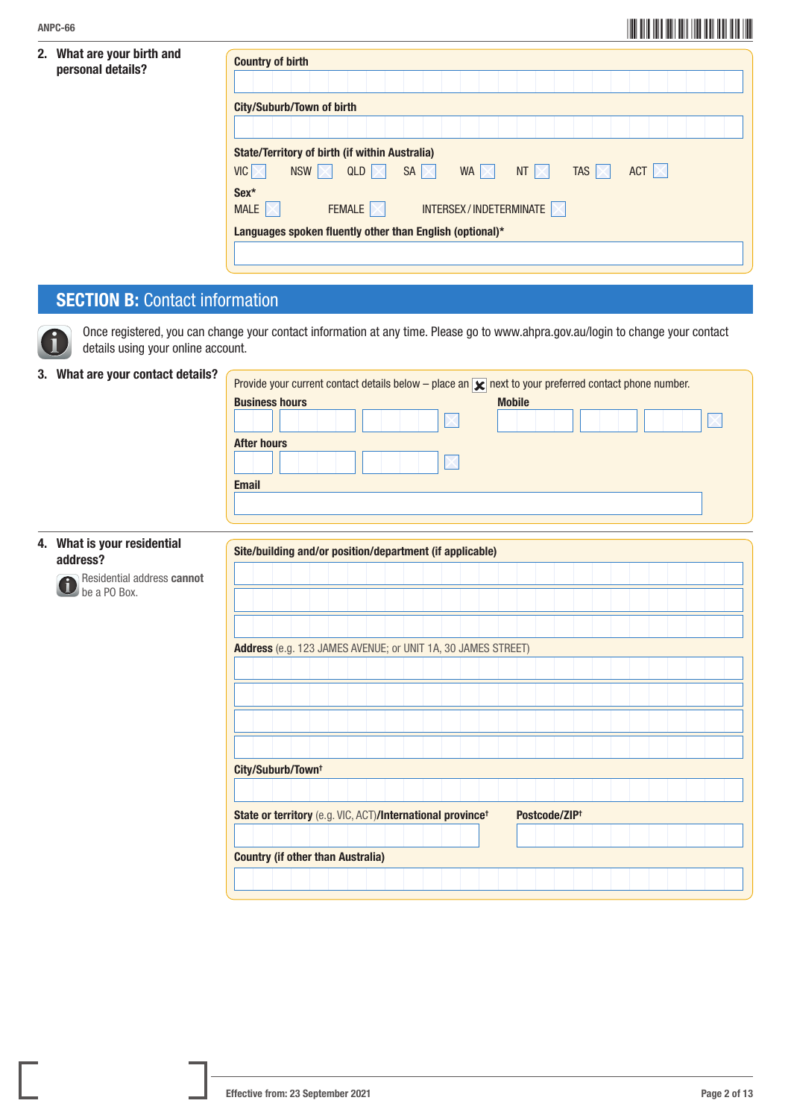#### 2. What are your birth and personal details?

|                                                          | <b>City/Suburb/Town of birth</b>                                    |     |             |                         |                 |     |     |  |  |  |  |  |
|----------------------------------------------------------|---------------------------------------------------------------------|-----|-------------|-------------------------|-----------------|-----|-----|--|--|--|--|--|
|                                                          |                                                                     |     |             |                         |                 |     |     |  |  |  |  |  |
| VIC                                                      | <b>State/Territory of birth (if within Australia)</b><br><b>NSW</b> | QLD | $SA \times$ | WA $\vert \times \vert$ | NT $\mathsf{K}$ | TAS | ACT |  |  |  |  |  |
| Sex*<br><b>MALE</b>                                      | <b>FEMALE</b> $ \times $<br>INTERSEX/INDETERMINATE                  |     |             |                         |                 |     |     |  |  |  |  |  |
| Languages spoken fluently other than English (optional)* |                                                                     |     |             |                         |                 |     |     |  |  |  |  |  |

### **SECTION B: Contact information**

After hours

Email



Once registered, you can change your contact information at any time. Please go to www.ahpra.gov.au/login to change your contact details using your online account.

3. What are your contact details? Provide your current contact details below – place an  $\vert \mathbf{x} \vert$  next to your preferred contact phone number. Business hours Mobile

| 4. What is your residential |
|-----------------------------|
| address?                    |

Residential address cannot be a PO Box.

| Site/building and/or position/department (if applicable)               |  |  |  |  |  |  |                           |  |  |  |  |  |  |
|------------------------------------------------------------------------|--|--|--|--|--|--|---------------------------|--|--|--|--|--|--|
|                                                                        |  |  |  |  |  |  |                           |  |  |  |  |  |  |
|                                                                        |  |  |  |  |  |  |                           |  |  |  |  |  |  |
|                                                                        |  |  |  |  |  |  |                           |  |  |  |  |  |  |
|                                                                        |  |  |  |  |  |  |                           |  |  |  |  |  |  |
|                                                                        |  |  |  |  |  |  |                           |  |  |  |  |  |  |
| Address (e.g. 123 JAMES AVENUE; or UNIT 1A, 30 JAMES STREET)           |  |  |  |  |  |  |                           |  |  |  |  |  |  |
|                                                                        |  |  |  |  |  |  |                           |  |  |  |  |  |  |
|                                                                        |  |  |  |  |  |  |                           |  |  |  |  |  |  |
|                                                                        |  |  |  |  |  |  |                           |  |  |  |  |  |  |
|                                                                        |  |  |  |  |  |  |                           |  |  |  |  |  |  |
|                                                                        |  |  |  |  |  |  |                           |  |  |  |  |  |  |
|                                                                        |  |  |  |  |  |  |                           |  |  |  |  |  |  |
| City/Suburb/Town <sup>+</sup>                                          |  |  |  |  |  |  |                           |  |  |  |  |  |  |
|                                                                        |  |  |  |  |  |  |                           |  |  |  |  |  |  |
|                                                                        |  |  |  |  |  |  |                           |  |  |  |  |  |  |
| State or territory (e.g. VIC, ACT)/International province <sup>t</sup> |  |  |  |  |  |  | Postcode/ZIP <sup>+</sup> |  |  |  |  |  |  |
|                                                                        |  |  |  |  |  |  |                           |  |  |  |  |  |  |
| <b>Country (if other than Australia)</b>                               |  |  |  |  |  |  |                           |  |  |  |  |  |  |
|                                                                        |  |  |  |  |  |  |                           |  |  |  |  |  |  |
|                                                                        |  |  |  |  |  |  |                           |  |  |  |  |  |  |
|                                                                        |  |  |  |  |  |  |                           |  |  |  |  |  |  |

J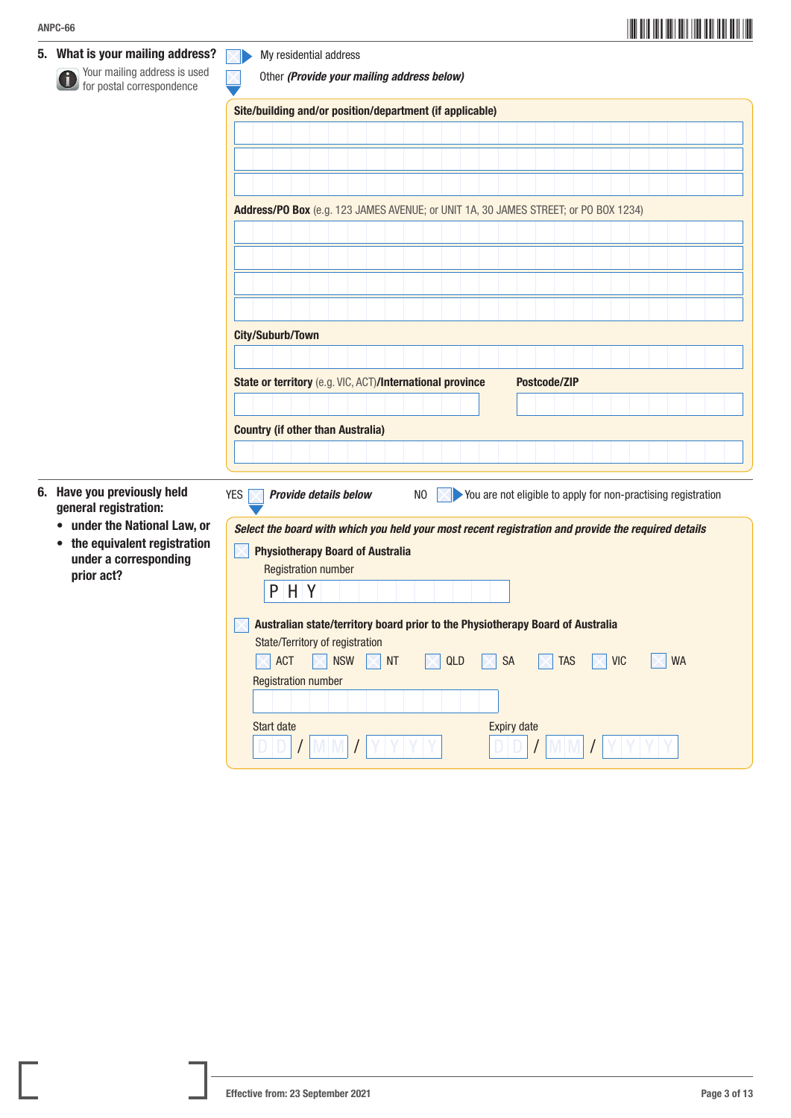\*ANPC-663\* ANPC-66 5. What is your mailing address? My residential address  $\boxtimes$  Your mailing address is used for postal correspondence Other *(Provide your mailing address below)* Site/building and/or position/department (if applicable) Address/PO Box (e.g. 123 JAMES AVENUE; or UNIT 1A, 30 JAMES STREET; or PO BOX 1234) City/Suburb/Town State or territory (e.g. VIC, ACT)/International province Postcode/ZIP Country (if other than Australia) 6. Have you previously held YES *Provide details below* NO **Y** You are not eligible to apply for non-practising registration general registration: • under the National Law, or *Select the board with which you held your most recent registration and provide the required details* • the equivalent registration ſ Physiotherapy Board of Australia under a corresponding Registration number prior act? P H Y

 $\boxtimes$  Australian state/territory board prior to the Physiotherapy Board of Australia

Start date Expiry date Expiry date

ACT NSW NT QLD SA TAS VIC WA

D | **/** | M | M | **/** | Y | Y | Y | Y | Y | D | D | **/** | M | M | **/** | Y | Y | Y | Y

State/Territory of registration

Registration number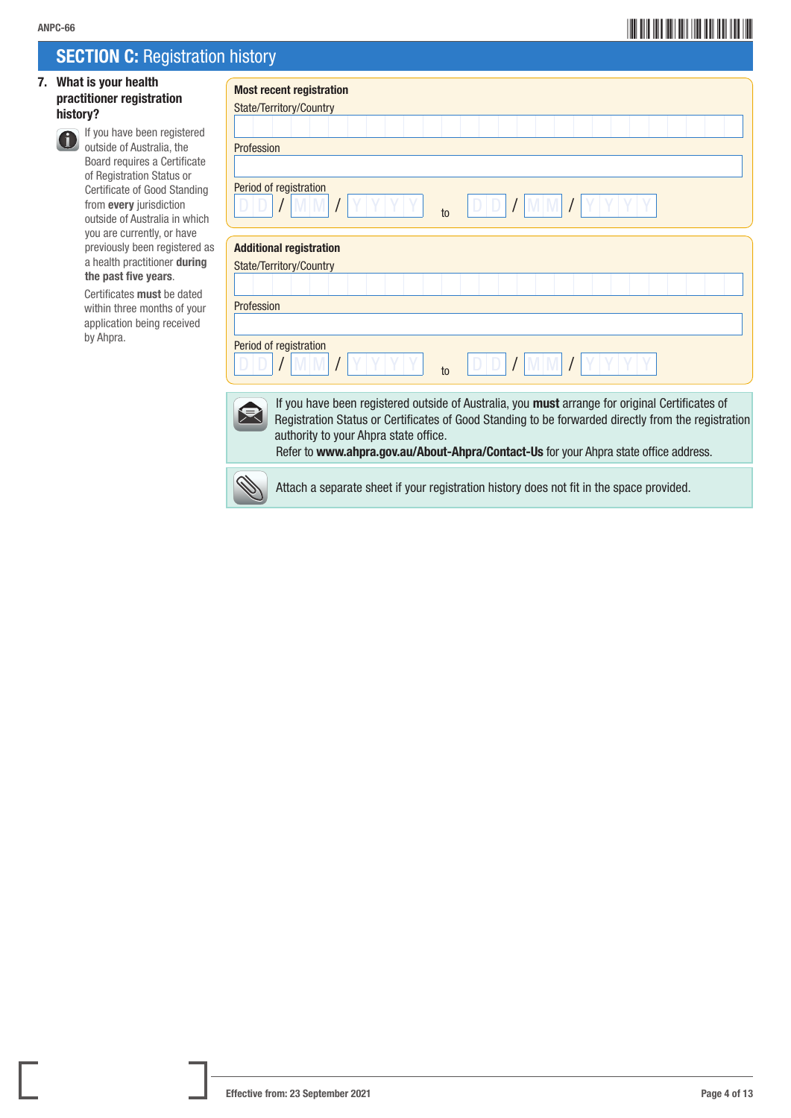### **SECTION C: Registration history**

#### 7. What is your health practitioner registration history?

 If you have been registered outside of Australia, the Board requires a Certificate of Registration Status or Certificate of Good Standing from every jurisdiction outside of Australia in which you are currently, or have previously been registered as a health practitioner during the past five years.

 Certificates must be dated within three months of your application being received by Ahpra.

|            | <b>Most recent registration</b> |                                                                                                     |       |  |  |  |  |  |
|------------|---------------------------------|-----------------------------------------------------------------------------------------------------|-------|--|--|--|--|--|
|            | State/Territory/Country         |                                                                                                     |       |  |  |  |  |  |
|            |                                 |                                                                                                     |       |  |  |  |  |  |
|            |                                 |                                                                                                     |       |  |  |  |  |  |
| Profession |                                 |                                                                                                     |       |  |  |  |  |  |
|            |                                 |                                                                                                     |       |  |  |  |  |  |
|            |                                 |                                                                                                     |       |  |  |  |  |  |
|            | Period of registration          |                                                                                                     |       |  |  |  |  |  |
|            |                                 |                                                                                                     | $t_0$ |  |  |  |  |  |
|            |                                 |                                                                                                     |       |  |  |  |  |  |
|            |                                 |                                                                                                     |       |  |  |  |  |  |
|            | <b>Additional registration</b>  |                                                                                                     |       |  |  |  |  |  |
|            | State/Territory/Country         |                                                                                                     |       |  |  |  |  |  |
|            |                                 |                                                                                                     |       |  |  |  |  |  |
|            |                                 |                                                                                                     |       |  |  |  |  |  |
| Profession |                                 |                                                                                                     |       |  |  |  |  |  |
|            |                                 |                                                                                                     |       |  |  |  |  |  |
|            |                                 |                                                                                                     |       |  |  |  |  |  |
|            | Period of registration          |                                                                                                     |       |  |  |  |  |  |
|            |                                 |                                                                                                     | to    |  |  |  |  |  |
|            |                                 |                                                                                                     |       |  |  |  |  |  |
|            |                                 |                                                                                                     |       |  |  |  |  |  |
|            |                                 | If you have been registered outside of Australia, you must arrange for original Certificates of     |       |  |  |  |  |  |
|            |                                 | Registration Status or Certificates of Good Standing to be forwarded directly from the registration |       |  |  |  |  |  |
|            |                                 | authority to your Ahpra state office.                                                               |       |  |  |  |  |  |
|            |                                 | Refer to www.ahpra.gov.au/About-Ahpra/Contact-Us for your Ahpra state office address.               |       |  |  |  |  |  |



Attach a separate sheet if your registration history does not fit in the space provided.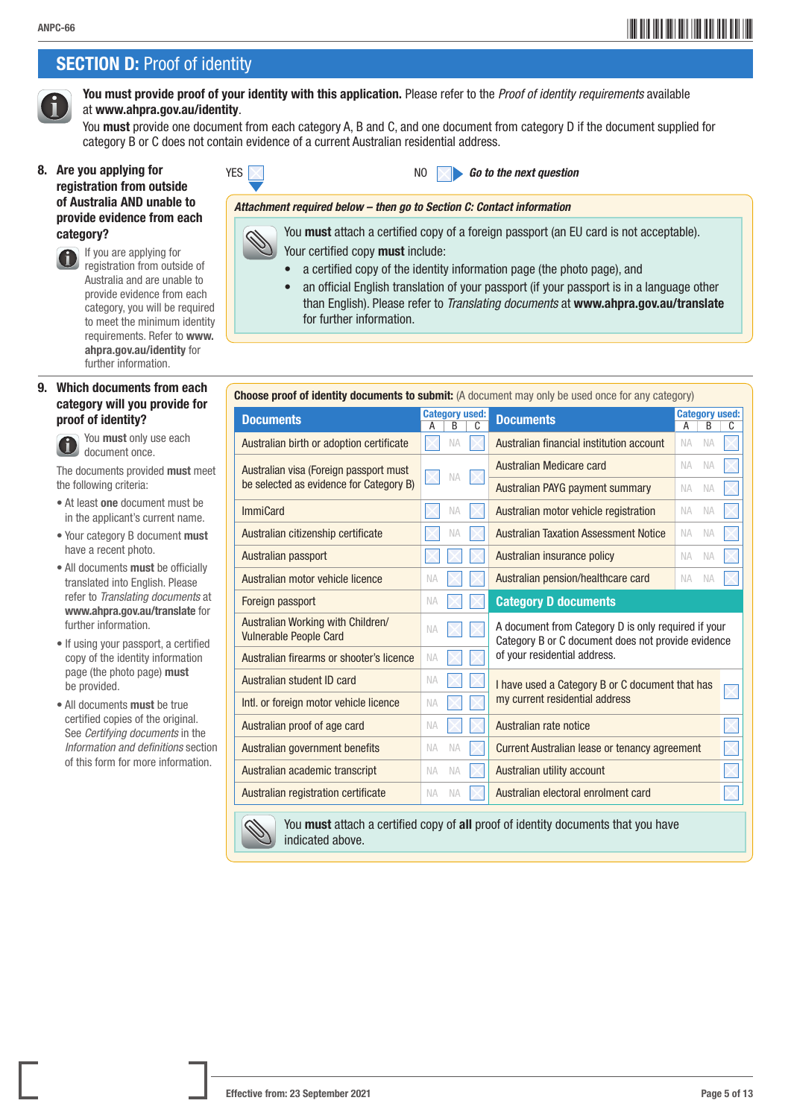### **SECTION D: Proof of identity**



You must provide proof of your identity with this application. Please refer to the *Proof of identity requirements* available at www.ahpra.gov.au/identity.

You must provide one document from each category A, B and C, and one document from category D if the document supplied for category B or C does not contain evidence of a current Australian residential address.

#### 8. Are you applying for registration from outside of Australia AND unable to provide evidence from each category?

If you are applying for registration from outside of Australia and are unable to provide evidence from each category, you will be required to meet the minimum identity requirements. Refer to www. ahpra.gov.au/identity for further information.

#### 9. Which documents from each category will you provide for proof of identity?

You must only use each document once.

The documents provided must meet the following criteria:

- At least one document must be in the applicant's current name.
- Your category B document must have a recent photo.
- All documents must be officially translated into English. Please refer to *Translating documents* at www.ahpra.gov.au/translate for further information.
- If using your passport, a certified copy of the identity information page (the photo page) must be provided.
- All documents must be true certified copies of the original. See *Certifying documents* in the *Information and definitions* section of this form for more information.



YES **NO Go to the next question** 

*Attachment required below – then go to Section C: Contact information*

You must attach a certified copy of a foreign passport (an EU card is not acceptable). Your certified copy must include:

- a certified copy of the identity information page (the photo page), and
- an official English translation of your passport (if your passport is in a language other than English). Please refer to *Translating documents* at www.ahpra.gov.au/translate for further information.

| <b>Choose proof of identity documents to submit:</b> (A document may only be used once for any category) |                                 |                                                                                                           |                                      |  |  |  |  |  |  |  |
|----------------------------------------------------------------------------------------------------------|---------------------------------|-----------------------------------------------------------------------------------------------------------|--------------------------------------|--|--|--|--|--|--|--|
| <b>Documents</b>                                                                                         | <b>Category used:</b><br>C<br>B | <b>Documents</b>                                                                                          | <b>Category used:</b><br>Α<br>B<br>C |  |  |  |  |  |  |  |
| Australian birth or adoption certificate                                                                 | NΔ                              | Australian financial institution account                                                                  | <b>NA</b><br><b>NA</b>               |  |  |  |  |  |  |  |
| Australian visa (Foreign passport must                                                                   | NΑ                              | Australian Medicare card                                                                                  | <b>NA</b><br><b>NA</b>               |  |  |  |  |  |  |  |
| be selected as evidence for Category B)                                                                  |                                 | Australian PAYG payment summary                                                                           | <b>NA</b><br><b>NA</b>               |  |  |  |  |  |  |  |
| <b>ImmiCard</b>                                                                                          | <b>NA</b>                       | Australian motor vehicle registration                                                                     | <b>NA</b><br><b>NA</b>               |  |  |  |  |  |  |  |
| Australian citizenship certificate                                                                       | <b>NA</b>                       | <b>Australian Taxation Assessment Notice</b>                                                              | <b>NA</b><br><b>NA</b>               |  |  |  |  |  |  |  |
| Australian passport                                                                                      |                                 | Australian insurance policy                                                                               | <b>NA</b><br><b>NA</b>               |  |  |  |  |  |  |  |
| Australian motor vehicle licence                                                                         | <b>NA</b>                       | Australian pension/healthcare card                                                                        | <b>NA</b><br><b>NA</b>               |  |  |  |  |  |  |  |
| Foreign passport                                                                                         | <b>NA</b>                       | <b>Category D documents</b>                                                                               |                                      |  |  |  |  |  |  |  |
| Australian Working with Children/<br><b>Vulnerable People Card</b>                                       | <b>NA</b>                       | A document from Category D is only required if your<br>Category B or C document does not provide evidence |                                      |  |  |  |  |  |  |  |
| Australian firearms or shooter's licence                                                                 | <b>NA</b>                       | of your residential address.                                                                              |                                      |  |  |  |  |  |  |  |
| Australian student ID card                                                                               | <b>NA</b>                       | I have used a Category B or C document that has                                                           |                                      |  |  |  |  |  |  |  |
| Intl. or foreign motor vehicle licence                                                                   | <b>NA</b>                       | my current residential address                                                                            |                                      |  |  |  |  |  |  |  |
| Australian proof of age card                                                                             | <b>NA</b>                       | Australian rate notice                                                                                    |                                      |  |  |  |  |  |  |  |
| Australian government benefits                                                                           | <b>NA</b><br><b>NA</b>          | Current Australian lease or tenancy agreement                                                             |                                      |  |  |  |  |  |  |  |
| Australian academic transcript                                                                           | <b>NA</b><br><b>NA</b>          | Australian utility account                                                                                |                                      |  |  |  |  |  |  |  |
| Australian registration certificate                                                                      | <b>NA</b><br><b>NA</b>          | Australian electoral enrolment card                                                                       |                                      |  |  |  |  |  |  |  |



You must attach a certified copy of all proof of identity documents that you have indicated above.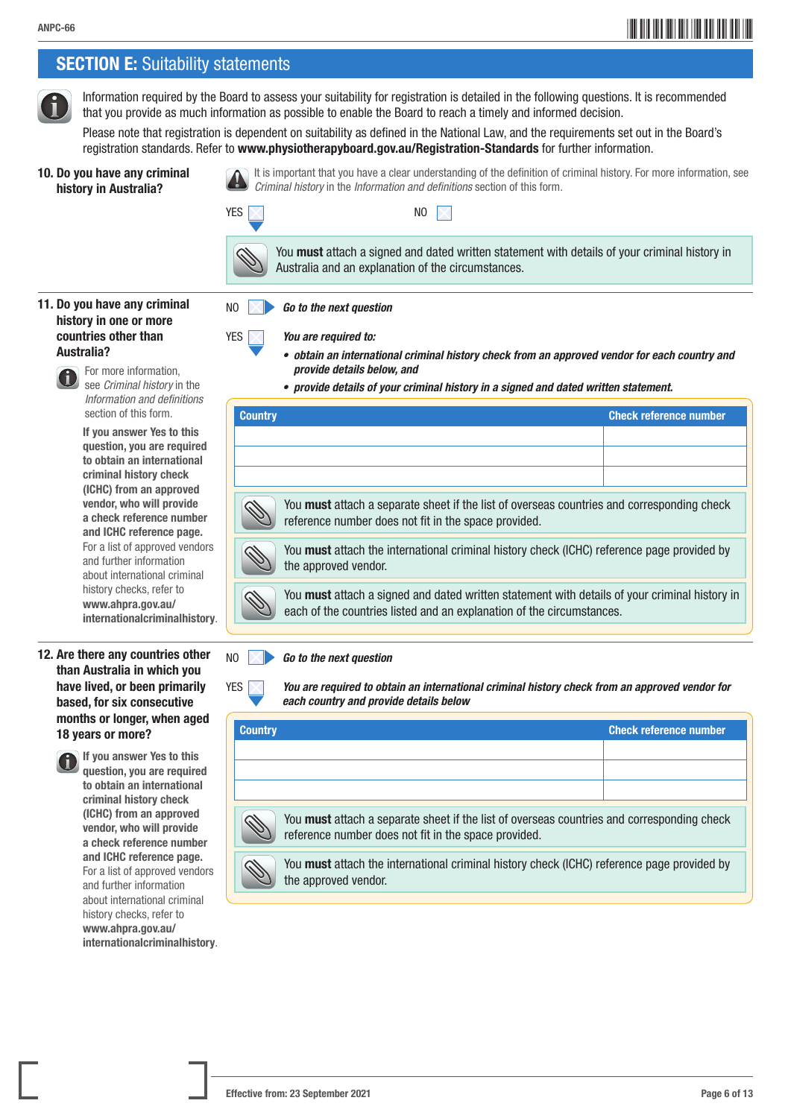## ANPC-66**6** AND RESERVE TO A RESERVE TO A RESERVE TO A RESERVE TO A RESERVE TO A RESERVE TO A RESERVE TO A RESERVE TO A RESERVE TO A RESERVE TO A RESERVE TO A RESERVE TO A RESERVE TO A RESERVE TO A RESERVE TO A RESERVE TO A

### **SECTION E:** Suitability statements

 Information required by the Board to assess your suitability for registration is detailed in the following questions. It is recommended that you provide as much information as possible to enable the Board to reach a timely and informed decision.

Please note that registration is dependent on suitability as defined in the National Law, and the requirements set out in the Board's registration standards. Refer to www.physiotherapyboard.gov.au/Registration-Standards for further information.

#### 10. Do you have any criminal history in Australia?

It is important that you have a clear understanding of the definition of criminal history. For more information, see *Criminal history* in the *Information and definitions* section of this form.





You must attach a signed and dated written statement with details of your criminal history in Australia and an explanation of the circumstances.

#### 11. Do you have any criminal history in one or more countries other than Australia?



 For more information, see *Criminal history* in the *Information and definitions* section of this form.

If you answer Yes to this question, you are required to obtain an international criminal history check (ICHC) from an approved vendor, who will provide a check reference number and ICHC reference page. For a list of approved vendors and further information about international criminal history checks, refer to www.ahpra.gov.au/ internationalcriminalhistory.

12. Are there any countries other than Australia in which you have lived, or been primarily based, for six consecutive months or longer, when aged 18 years or more?



 If you answer Yes to this question, you are required to obtain an international criminal history check (ICHC) from an approved vendor, who will provide a check reference number and ICHC reference page. For a list of approved vendors and further information about international criminal history checks, refer to www.ahpra.gov.au/ internationalcriminalhistory. NO *Go to the next question*

- YES *You are required to:*
	- *• obtain an international criminal history check from an approved vendor for each country and provide details below, and*
	- *• provide details of your criminal history in a signed and dated written statement.*

| <b>Country</b>                                                                                                                                                         | <b>Check reference number</b> |
|------------------------------------------------------------------------------------------------------------------------------------------------------------------------|-------------------------------|
|                                                                                                                                                                        |                               |
|                                                                                                                                                                        |                               |
|                                                                                                                                                                        |                               |
| You <b>must</b> attach a separate sheet if the list of overseas countries and corresponding check<br>reference number does not fit in the space provided.              |                               |
| You <b>must</b> attach the international criminal history check (ICHC) reference page provided by<br>the approved vendor.                                              |                               |
| You must attach a signed and dated written statement with details of your criminal history in<br>each of the countries listed and an explanation of the circumstances. |                               |

#### NO *Go to the next question*

YES *You are required to obtain an international criminal history check from an approved vendor for each country and provide details below*

| <b>Country</b> |                                                                                                                                                    | <b>Check reference number</b> |
|----------------|----------------------------------------------------------------------------------------------------------------------------------------------------|-------------------------------|
|                |                                                                                                                                                    |                               |
|                |                                                                                                                                                    |                               |
|                |                                                                                                                                                    |                               |
|                | You must attach a separate sheet if the list of overseas countries and corresponding check<br>reference number does not fit in the space provided. |                               |
|                | You must attach the international criminal history check (ICHC) reference page provided by                                                         |                               |

the approved vendor.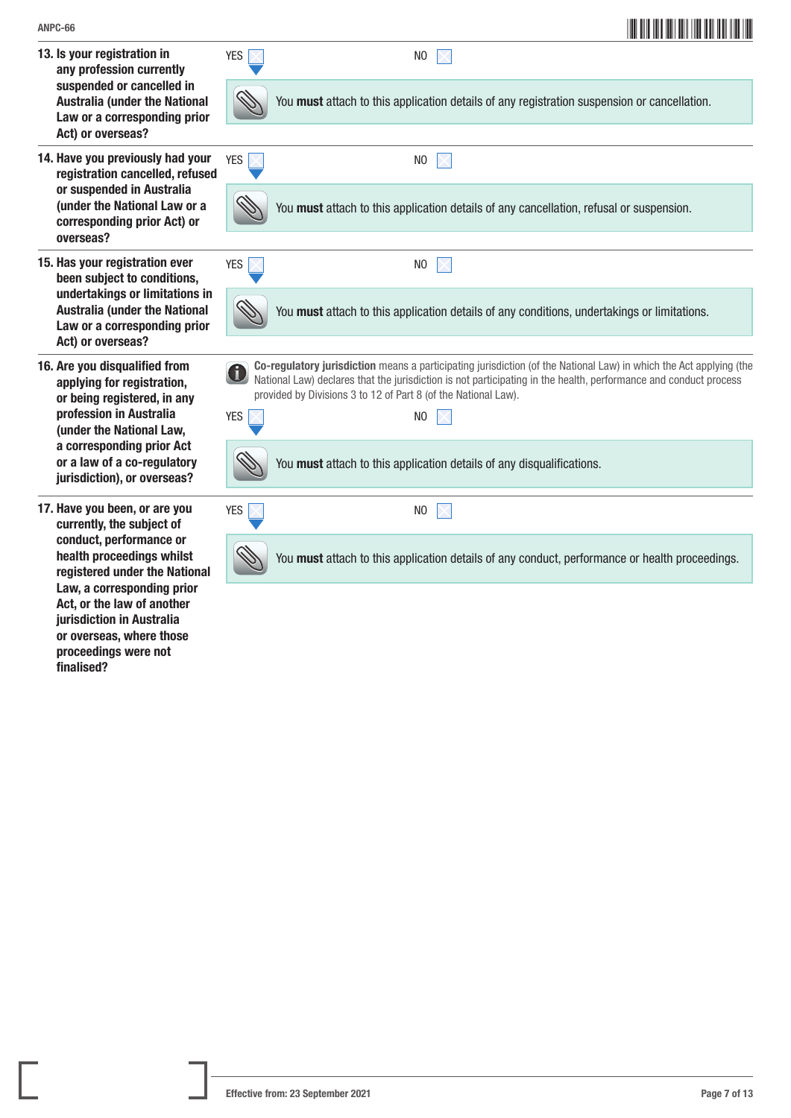or overseas, where those proceedings were not

finalised?

| ANPC-66                                                                                                                     |            |                                                                                                                                                                                                                                                                                                          |
|-----------------------------------------------------------------------------------------------------------------------------|------------|----------------------------------------------------------------------------------------------------------------------------------------------------------------------------------------------------------------------------------------------------------------------------------------------------------|
| 13. Is your registration in<br>any profession currently                                                                     | <b>YES</b> | N <sub>O</sub>                                                                                                                                                                                                                                                                                           |
| suspended or cancelled in<br><b>Australia (under the National</b><br>Law or a corresponding prior<br>Act) or overseas?      |            | You must attach to this application details of any registration suspension or cancellation.                                                                                                                                                                                                              |
| 14. Have you previously had your<br>registration cancelled, refused                                                         | <b>YES</b> | N <sub>0</sub>                                                                                                                                                                                                                                                                                           |
| or suspended in Australia<br>(under the National Law or a<br>corresponding prior Act) or<br>overseas?                       |            | You must attach to this application details of any cancellation, refusal or suspension.                                                                                                                                                                                                                  |
| 15. Has your registration ever<br>been subject to conditions,                                                               | <b>YES</b> | N <sub>0</sub>                                                                                                                                                                                                                                                                                           |
| undertakings or limitations in<br><b>Australia (under the National</b><br>Law or a corresponding prior<br>Act) or overseas? |            | You must attach to this application details of any conditions, undertakings or limitations.                                                                                                                                                                                                              |
| 16. Are you disqualified from<br>applying for registration,<br>or being registered, in any                                  | d          | Co-regulatory jurisdiction means a participating jurisdiction (of the National Law) in which the Act applying (the<br>National Law) declares that the jurisdiction is not participating in the health, performance and conduct process<br>provided by Divisions 3 to 12 of Part 8 (of the National Law). |
| profession in Australia<br>(under the National Law,                                                                         | <b>YES</b> | N <sub>0</sub>                                                                                                                                                                                                                                                                                           |
| a corresponding prior Act<br>or a law of a co-regulatory<br>jurisdiction), or overseas?                                     | Ó,         | You must attach to this application details of any disqualifications.                                                                                                                                                                                                                                    |
| 17. Have you been, or are you<br>currently, the subject of                                                                  | <b>YES</b> | N <sub>0</sub>                                                                                                                                                                                                                                                                                           |
| conduct, performance or<br>health proceedings whilst<br>registered under the National                                       |            | You must attach to this application details of any conduct, performance or health proceedings.                                                                                                                                                                                                           |
| Law, a corresponding prior<br>Act, or the law of another<br><b>iurisdiction in Australia</b>                                |            |                                                                                                                                                                                                                                                                                                          |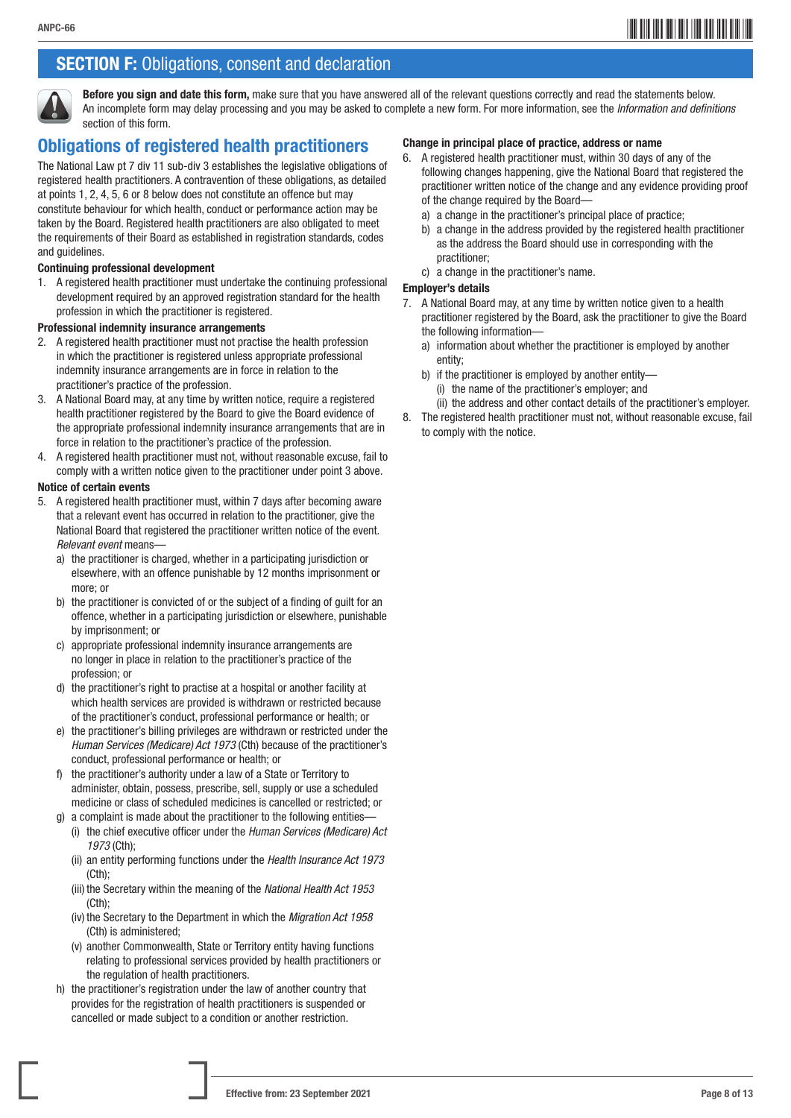### **SECTION F:** Obligations, consent and declaration



Before you sign and date this form, make sure that you have answered all of the relevant questions correctly and read the statements below. An incomplete form may delay processing and you may be asked to complete a new form. For more information, see the *Information and definitions*  section of this form.

### Obligations of registered health practitioners

The National Law pt 7 div 11 sub-div 3 establishes the legislative obligations of registered health practitioners. A contravention of these obligations, as detailed at points 1, 2, 4, 5, 6 or 8 below does not constitute an offence but may constitute behaviour for which health, conduct or performance action may be taken by the Board. Registered health practitioners are also obligated to meet the requirements of their Board as established in registration standards, codes and quidelines.

#### Continuing professional development

1. A registered health practitioner must undertake the continuing professional development required by an approved registration standard for the health profession in which the practitioner is registered.

#### Professional indemnity insurance arrangements

- 2. A registered health practitioner must not practise the health profession in which the practitioner is registered unless appropriate professional indemnity insurance arrangements are in force in relation to the practitioner's practice of the profession.
- 3. A National Board may, at any time by written notice, require a registered health practitioner registered by the Board to give the Board evidence of the appropriate professional indemnity insurance arrangements that are in force in relation to the practitioner's practice of the profession.
- 4. A registered health practitioner must not, without reasonable excuse, fail to comply with a written notice given to the practitioner under point 3 above.

#### Notice of certain events

- 5. A registered health practitioner must, within 7 days after becoming aware that a relevant event has occurred in relation to the practitioner, give the National Board that registered the practitioner written notice of the event. *Relevant event* means
	- a) the practitioner is charged, whether in a participating jurisdiction or elsewhere, with an offence punishable by 12 months imprisonment or more; or
	- b) the practitioner is convicted of or the subject of a finding of guilt for an offence, whether in a participating jurisdiction or elsewhere, punishable by imprisonment; or
	- c) appropriate professional indemnity insurance arrangements are no longer in place in relation to the practitioner's practice of the profession; or
	- d) the practitioner's right to practise at a hospital or another facility at which health services are provided is withdrawn or restricted because of the practitioner's conduct, professional performance or health; or
	- e) the practitioner's billing privileges are withdrawn or restricted under the *Human Services (Medicare) Act 1973* (Cth) because of the practitioner's conduct, professional performance or health; or
	- f) the practitioner's authority under a law of a State or Territory to administer, obtain, possess, prescribe, sell, supply or use a scheduled medicine or class of scheduled medicines is cancelled or restricted; or
	- g) a complaint is made about the practitioner to the following entities-(i) the chief executive officer under the *Human Services (Medicare) Act 1973* (Cth);
		- (ii) an entity performing functions under the *Health Insurance Act 1973*  (Cth);
		- (iii) the Secretary within the meaning of the *National Health Act 1953*   $(Cth)$ :
		- (iv) the Secretary to the Department in which the *Migration Act 1958* (Cth) is administered;
		- (v) another Commonwealth, State or Territory entity having functions relating to professional services provided by health practitioners or the regulation of health practitioners.
	- h) the practitioner's registration under the law of another country that provides for the registration of health practitioners is suspended or cancelled or made subject to a condition or another restriction.

#### Change in principal place of practice, address or name

- 6. A registered health practitioner must, within 30 days of any of the following changes happening, give the National Board that registered the practitioner written notice of the change and any evidence providing proof of the change required by the Board
	- a) a change in the practitioner's principal place of practice;
	- b) a change in the address provided by the registered health practitioner as the address the Board should use in corresponding with the practitioner;
	- c) a change in the practitioner's name.

#### Employer's details

- 7. A National Board may, at any time by written notice given to a health practitioner registered by the Board, ask the practitioner to give the Board the following information
	- a) information about whether the practitioner is employed by another entity;
	- b) if the practitioner is employed by another entity— (i) the name of the practitioner's employer; and
		- (ii) the address and other contact details of the practitioner's employer.
- 8. The registered health practitioner must not, without reasonable excuse, fail to comply with the notice.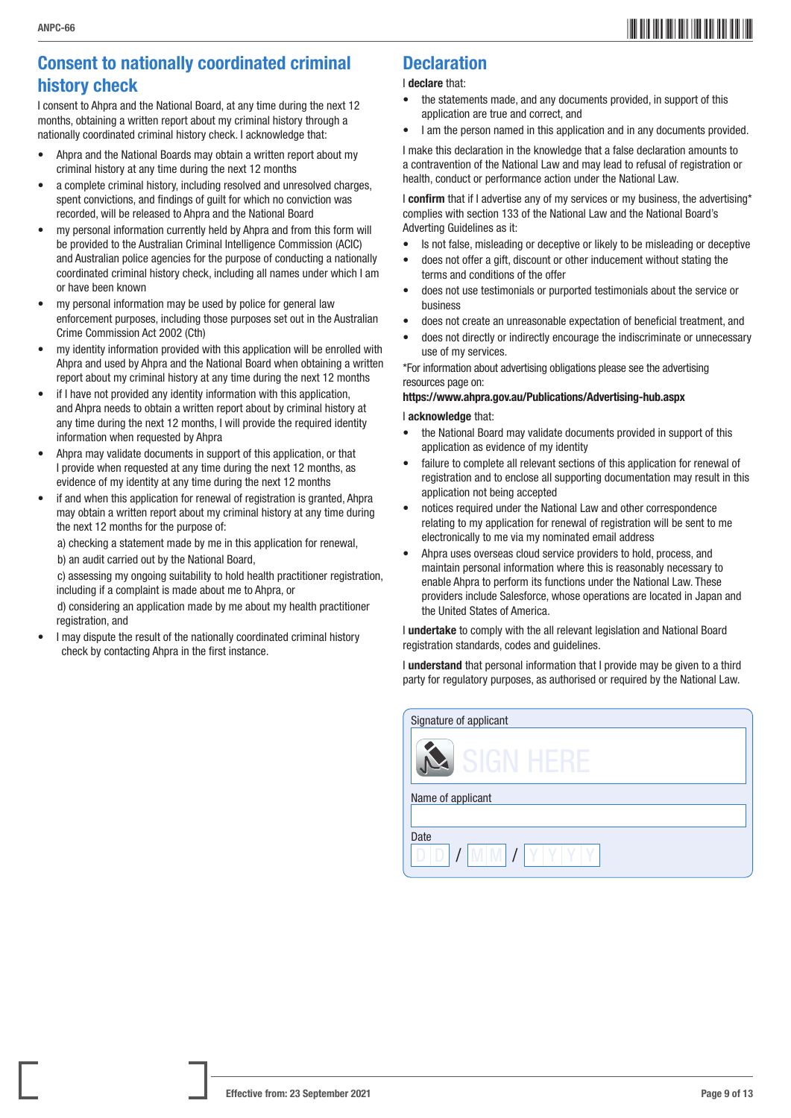### Consent to nationally coordinated criminal history check

I consent to Ahpra and the National Board, at any time during the next 12 months, obtaining a written report about my criminal history through a nationally coordinated criminal history check. I acknowledge that:

- Ahpra and the National Boards may obtain a written report about my criminal history at any time during the next 12 months
- a complete criminal history, including resolved and unresolved charges, spent convictions, and findings of guilt for which no conviction was recorded, will be released to Ahpra and the National Board
- my personal information currently held by Ahpra and from this form will be provided to the Australian Criminal Intelligence Commission (ACIC) and Australian police agencies for the purpose of conducting a nationally coordinated criminal history check, including all names under which I am or have been known
- my personal information may be used by police for general law enforcement purposes, including those purposes set out in the Australian Crime Commission Act 2002 (Cth)
- my identity information provided with this application will be enrolled with Ahpra and used by Ahpra and the National Board when obtaining a written report about my criminal history at any time during the next 12 months
- if I have not provided any identity information with this application. and Ahpra needs to obtain a written report about by criminal history at any time during the next 12 months, I will provide the required identity information when requested by Ahpra
- Ahpra may validate documents in support of this application, or that I provide when requested at any time during the next 12 months, as evidence of my identity at any time during the next 12 months
- if and when this application for renewal of registration is granted, Ahpra may obtain a written report about my criminal history at any time during the next 12 months for the purpose of:

a) checking a statement made by me in this application for renewal, b) an audit carried out by the National Board,

c) assessing my ongoing suitability to hold health practitioner registration, including if a complaint is made about me to Ahpra, or

d) considering an application made by me about my health practitioner registration, and

• I may dispute the result of the nationally coordinated criminal history check by contacting Ahpra in the first instance.

### **Declaration**

#### I declare that:

- the statements made, and any documents provided, in support of this application are true and correct, and
- I am the person named in this application and in any documents provided.

I make this declaration in the knowledge that a false declaration amounts to a contravention of the National Law and may lead to refusal of registration or health, conduct or performance action under the National Law.

I confirm that if I advertise any of my services or my business, the advertising\* complies with section 133 of the National Law and the National Board's Adverting Guidelines as it:

- Is not false, misleading or deceptive or likely to be misleading or deceptive
- does not offer a gift, discount or other inducement without stating the terms and conditions of the offer
- does not use testimonials or purported testimonials about the service or business
- does not create an unreasonable expectation of beneficial treatment, and
- does not directly or indirectly encourage the indiscriminate or unnecessary use of my services.

\*For information about advertising obligations please see the advertising resources page on:

#### <https://www.ahpra.gov.au/Publications/Advertising-hub.aspx>

#### I acknowledge that:

- the National Board may validate documents provided in support of this application as evidence of my identity
- failure to complete all relevant sections of this application for renewal of registration and to enclose all supporting documentation may result in this application not being accepted
- notices required under the National Law and other correspondence relating to my application for renewal of registration will be sent to me electronically to me via my nominated email address
- Ahpra uses overseas cloud service providers to hold, process, and maintain personal information where this is reasonably necessary to enable Ahpra to perform its functions under the National Law. These providers include Salesforce, whose operations are located in Japan and the United States of America.

I undertake to comply with the all relevant legislation and National Board registration standards, codes and guidelines.

I understand that personal information that I provide may be given to a third party for regulatory purposes, as authorised or required by the National Law.

| Signature of applicant |
|------------------------|
| 51GN<br>. HE           |
| Name of applicant      |
|                        |
| Date                   |
| $M$ $M$                |

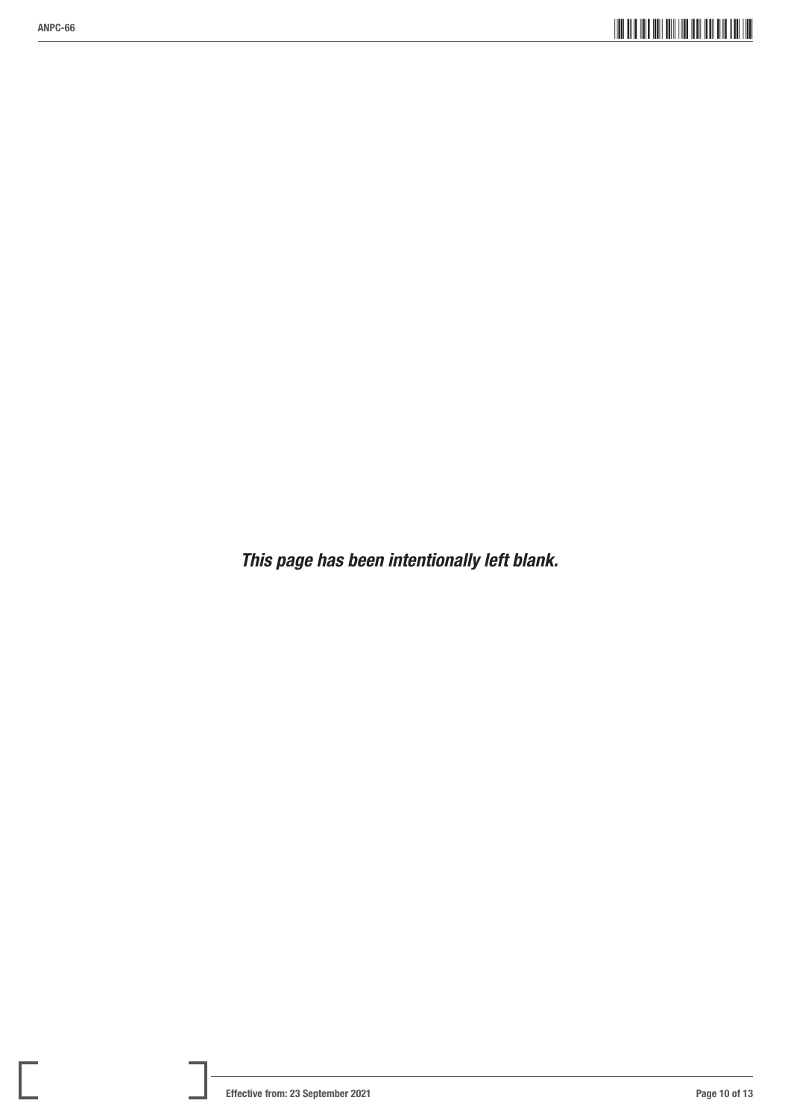*This page has been intentionally left blank.*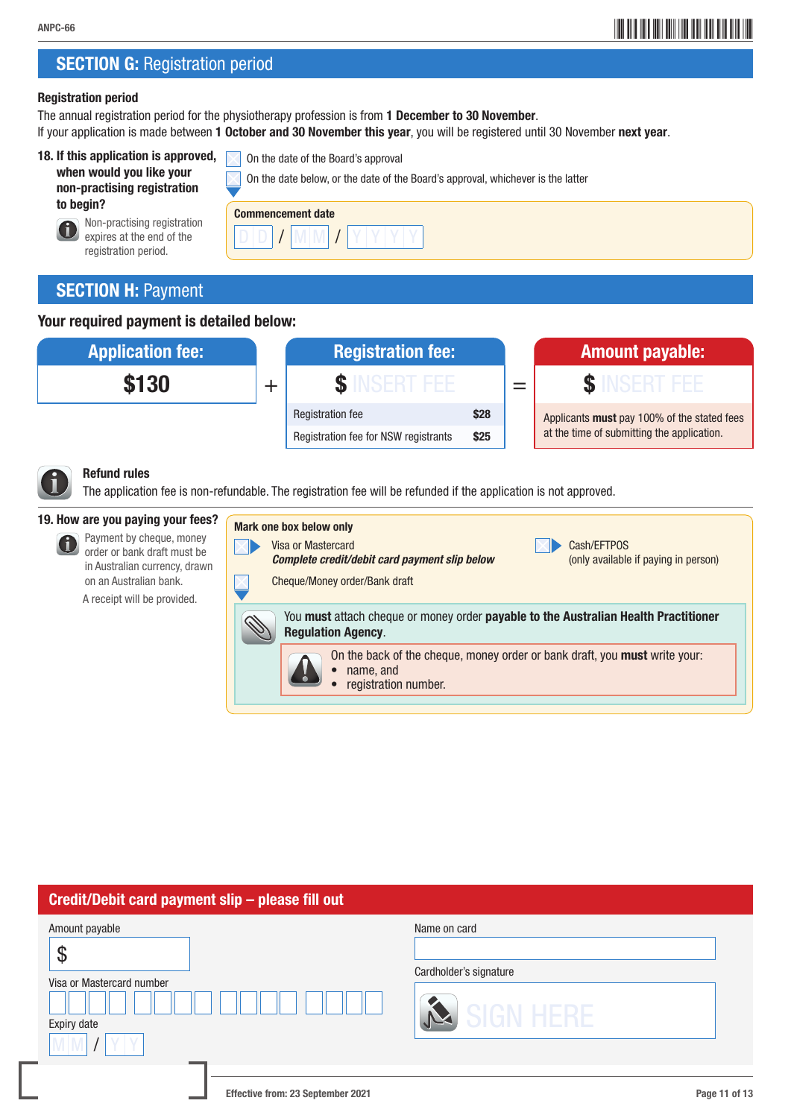## \*ANPC-6611\* ANPC-66

### **SECTION G: Registration period**

#### Registration period

The annual registration period for the physiotherapy profession is from 1 December to 30 November. If your application is made between 1 October and 30 November this year, you will be registered until 30 November next year.

On the date below, or the date of the Board's approval, whichever is the latter

On the date of the Board's approval

 $D |D|$  /  $M |M|$  /  $|Y|Y|Y|Y$ 

Commencement date

#### 18. If this application is approved, when would you like your non-practising registration to begin?

Non-practising registration expires at the end of the registration period.

### **SECTION H: Payment**

#### Your required payment is detailed below:



#### Credit/Debit card payment slip – please fill out

| Amount payable<br>$\boldsymbol{\mathcal{S}}$<br>Visa or Mastercard number<br><b>Expiry date</b> | Name on card<br>Cardholder's signature<br><b>SIGN HERE</b> |
|-------------------------------------------------------------------------------------------------|------------------------------------------------------------|
| Effective from: 23 September 2021                                                               | Page 11 of 13                                              |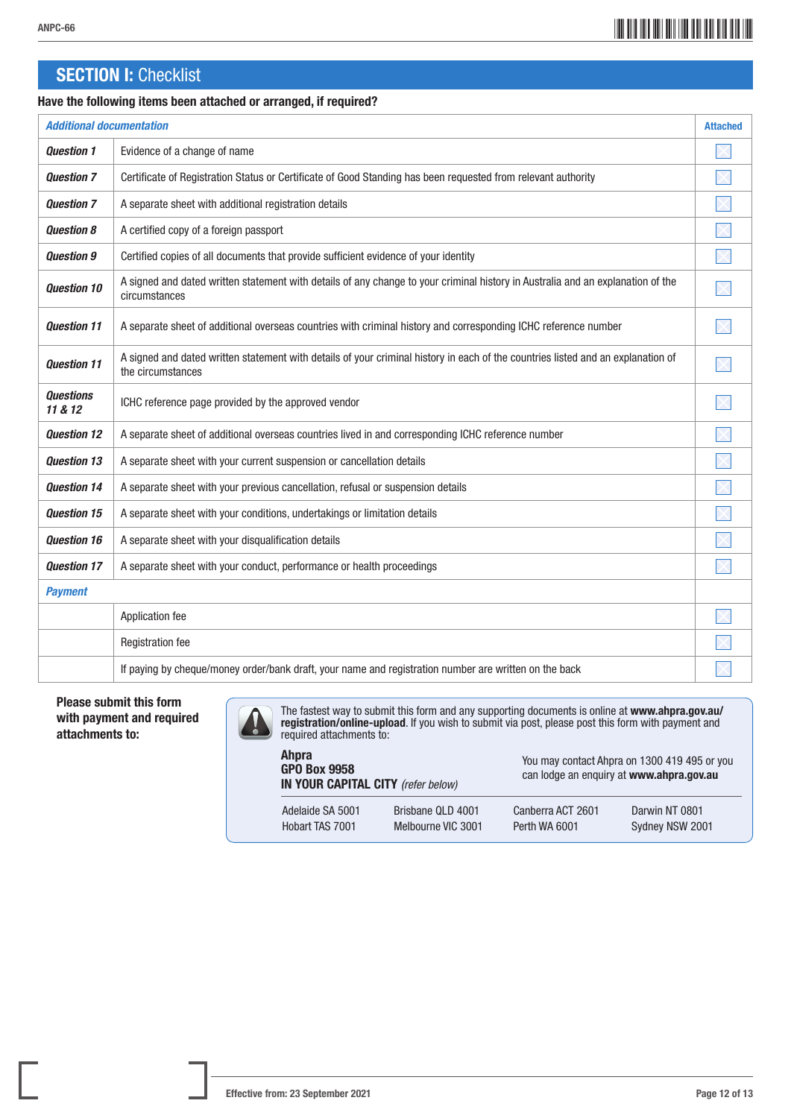## ANPC-66**22 AND CASES AND LONG AND LONG AND LONG AND LONG AND LONG AND LONG AND LONG AND LONG AND LONG AND LONG AND LONG AND LONG AND LONG AND LONG AND LONG AND LONG AND LONG AND LONG AND LONG AND LONG AND LONG AND LONG AND**

## **SECTION I: Checklist**

#### Have the following items been attached or arranged, if required?

| <b>Additional documentation</b> |                                                                                                                                                       | <b>Attached</b> |
|---------------------------------|-------------------------------------------------------------------------------------------------------------------------------------------------------|-----------------|
| <b>Question 1</b>               | Evidence of a change of name                                                                                                                          |                 |
| <b>Ouestion 7</b>               | Certificate of Registration Status or Certificate of Good Standing has been requested from relevant authority                                         |                 |
| <b>Question 7</b>               | A separate sheet with additional registration details                                                                                                 |                 |
| <b>Ouestion 8</b>               | A certified copy of a foreign passport                                                                                                                |                 |
| <b>Ouestion 9</b>               | Certified copies of all documents that provide sufficient evidence of your identity                                                                   |                 |
| <b>Question 10</b>              | A signed and dated written statement with details of any change to your criminal history in Australia and an explanation of the<br>circumstances      |                 |
| <b>Question 11</b>              | A separate sheet of additional overseas countries with criminal history and corresponding ICHC reference number                                       |                 |
| <b>Question 11</b>              | A signed and dated written statement with details of your criminal history in each of the countries listed and an explanation of<br>the circumstances |                 |
| <b>Ouestions</b><br>11 & 12     | ICHC reference page provided by the approved vendor                                                                                                   |                 |
| <b>Question 12</b>              | A separate sheet of additional overseas countries lived in and corresponding ICHC reference number                                                    |                 |
| <b>Question 13</b>              | A separate sheet with your current suspension or cancellation details                                                                                 |                 |
| <b>Question 14</b>              | A separate sheet with your previous cancellation, refusal or suspension details                                                                       |                 |
| <b>Question 15</b>              | A separate sheet with your conditions, undertakings or limitation details                                                                             |                 |
| <b>Question 16</b>              | A separate sheet with your disqualification details                                                                                                   |                 |
| <b>Question 17</b>              | A separate sheet with your conduct, performance or health proceedings                                                                                 |                 |
| <b>Payment</b>                  |                                                                                                                                                       |                 |
|                                 | Application fee                                                                                                                                       |                 |
|                                 | <b>Registration fee</b>                                                                                                                               |                 |
|                                 | If paying by cheque/money order/bank draft, your name and registration number are written on the back                                                 |                 |

Please submit this form with payment and required attachments to:

| <b>AD</b> | The fastest way to submit this form and any supporting documents is online at www.ahpra.gov.au/<br>registration/online-upload. If you wish to submit via post, please post this form with payment and<br>required attachments to: |                                         |                                                                                          |                                   |
|-----------|-----------------------------------------------------------------------------------------------------------------------------------------------------------------------------------------------------------------------------------|-----------------------------------------|------------------------------------------------------------------------------------------|-----------------------------------|
|           | <b>Ahpra</b><br><b>GPO Box 9958</b><br>IN YOUR CAPITAL CITY (refer below)                                                                                                                                                         |                                         | You may contact Ahpra on 1300 419 495 or you<br>can lodge an enquiry at www.ahpra.gov.au |                                   |
|           | Adelaide SA 5001<br>Hobart TAS 7001                                                                                                                                                                                               | Brisbane QLD 4001<br>Melbourne VIC 3001 | Canberra ACT 2601<br>Perth WA 6001                                                       | Darwin NT 0801<br>Sydney NSW 2001 |